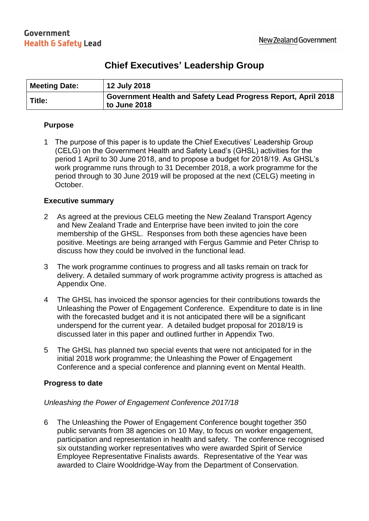### **Chief Executives' Leadership Group**

| <b>Meeting Date:</b> | <b>12 July 2018</b>                                                           |
|----------------------|-------------------------------------------------------------------------------|
| Title:               | Government Health and Safety Lead Progress Report, April 2018<br>to June 2018 |

#### **Purpose**

1 The purpose of this paper is to update the Chief Executives' Leadership Group (CELG) on the Government Health and Safety Lead's (GHSL) activities for the period 1 April to 30 June 2018, and to propose a budget for 2018/19. As GHSL's work programme runs through to 31 December 2018, a work programme for the period through to 30 June 2019 will be proposed at the next (CELG) meeting in October.

#### **Executive summary**

- 2 As agreed at the previous CELG meeting the New Zealand Transport Agency and New Zealand Trade and Enterprise have been invited to join the core membership of the GHSL. Responses from both these agencies have been positive. Meetings are being arranged with Fergus Gammie and Peter Chrisp to discuss how they could be involved in the functional lead.
- 3 The work programme continues to progress and all tasks remain on track for delivery. A detailed summary of work programme activity progress is attached as Appendix One.
- 4 The GHSL has invoiced the sponsor agencies for their contributions towards the Unleashing the Power of Engagement Conference. Expenditure to date is in line with the forecasted budget and it is not anticipated there will be a significant underspend for the current year. A detailed budget proposal for 2018/19 is discussed later in this paper and outlined further in Appendix Two.
- 5 The GHSL has planned two special events that were not anticipated for in the initial 2018 work programme; the Unleashing the Power of Engagement Conference and a special conference and planning event on Mental Health.

#### **Progress to date**

#### *Unleashing the Power of Engagement Conference 2017/18*

6 The Unleashing the Power of Engagement Conference bought together 350 public servants from 38 agencies on 10 May, to focus on worker engagement, participation and representation in health and safety. The conference recognised six outstanding worker representatives who were awarded Spirit of Service Employee Representative Finalists awards. Representative of the Year was awarded to Claire Wooldridge-Way from the Department of Conservation.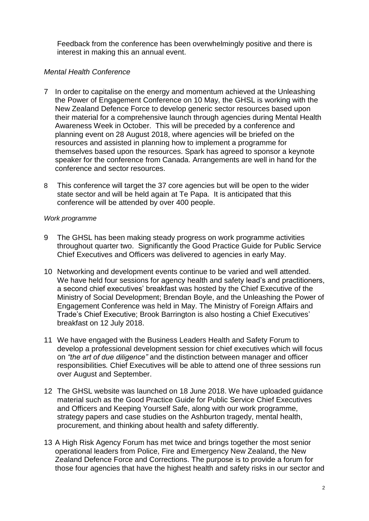Feedback from the conference has been overwhelmingly positive and there is interest in making this an annual event.

#### *Mental Health Conference*

- 7 In order to capitalise on the energy and momentum achieved at the Unleashing the Power of Engagement Conference on 10 May, the GHSL is working with the New Zealand Defence Force to develop generic sector resources based upon their material for a comprehensive launch through agencies during Mental Health Awareness Week in October. This will be preceded by a conference and planning event on 28 August 2018, where agencies will be briefed on the resources and assisted in planning how to implement a programme for themselves based upon the resources. Spark has agreed to sponsor a keynote speaker for the conference from Canada. Arrangements are well in hand for the conference and sector resources.
- 8 This conference will target the 37 core agencies but will be open to the wider state sector and will be held again at Te Papa. It is anticipated that this conference will be attended by over 400 people.

#### *Work programme*

- 9 The GHSL has been making steady progress on work programme activities throughout quarter two. Significantly the Good Practice Guide for Public Service Chief Executives and Officers was delivered to agencies in early May.
- 10 Networking and development events continue to be varied and well attended. We have held four sessions for agency health and safety lead's and practitioners, a second chief executives' breakfast was hosted by the Chief Executive of the Ministry of Social Development; Brendan Boyle, and the Unleashing the Power of Engagement Conference was held in May. The Ministry of Foreign Affairs and Trade's Chief Executive; Brook Barrington is also hosting a Chief Executives' breakfast on 12 July 2018.
- 11 We have engaged with the Business Leaders Health and Safety Forum to develop a professional development session for chief executives which will focus on *"the art of due diligence"* and the distinction between manager and officer responsibilities*.* Chief Executives will be able to attend one of three sessions run over August and September.
- 12 The GHSL website was launched on 18 June 2018. We have uploaded guidance material such as the Good Practice Guide for Public Service Chief Executives and Officers and Keeping Yourself Safe, along with our work programme, strategy papers and case studies on the Ashburton tragedy, mental health, procurement, and thinking about health and safety differently.
- 13 A High Risk Agency Forum has met twice and brings together the most senior operational leaders from Police, Fire and Emergency New Zealand, the New Zealand Defence Force and Corrections. The purpose is to provide a forum for those four agencies that have the highest health and safety risks in our sector and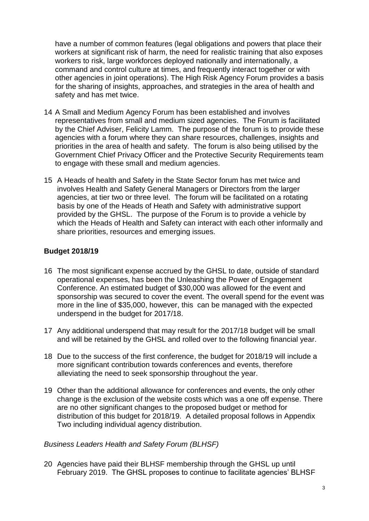have a number of common features (legal obligations and powers that place their workers at significant risk of harm, the need for realistic training that also exposes workers to risk, large workforces deployed nationally and internationally, a command and control culture at times, and frequently interact together or with other agencies in joint operations). The High Risk Agency Forum provides a basis for the sharing of insights, approaches, and strategies in the area of health and safety and has met twice.

- 14 A Small and Medium Agency Forum has been established and involves representatives from small and medium sized agencies. The Forum is facilitated by the Chief Adviser, Felicity Lamm. The purpose of the forum is to provide these agencies with a forum where they can share resources, challenges, insights and priorities in the area of health and safety. The forum is also being utilised by the Government Chief Privacy Officer and the Protective Security Requirements team to engage with these small and medium agencies.
- 15 A Heads of health and Safety in the State Sector forum has met twice and involves Health and Safety General Managers or Directors from the larger agencies, at tier two or three level. The forum will be facilitated on a rotating basis by one of the Heads of Heath and Safety with administrative support provided by the GHSL. The purpose of the Forum is to provide a vehicle by which the Heads of Health and Safety can interact with each other informally and share priorities, resources and emerging issues.

#### **Budget 2018/19**

- 16 The most significant expense accrued by the GHSL to date, outside of standard operational expenses, has been the Unleashing the Power of Engagement Conference. An estimated budget of \$30,000 was allowed for the event and sponsorship was secured to cover the event. The overall spend for the event was more in the line of \$35,000, however, this can be managed with the expected underspend in the budget for 2017/18.
- 17 Any additional underspend that may result for the 2017/18 budget will be small and will be retained by the GHSL and rolled over to the following financial year.
- 18 Due to the success of the first conference, the budget for 2018/19 will include a more significant contribution towards conferences and events, therefore alleviating the need to seek sponsorship throughout the year.
- 19 Other than the additional allowance for conferences and events, the only other change is the exclusion of the website costs which was a one off expense. There are no other significant changes to the proposed budget or method for distribution of this budget for 2018/19. A detailed proposal follows in Appendix Two including individual agency distribution.

#### *Business Leaders Health and Safety Forum (BLHSF)*

20 Agencies have paid their BLHSF membership through the GHSL up until February 2019. The GHSL proposes to continue to facilitate agencies' BLHSF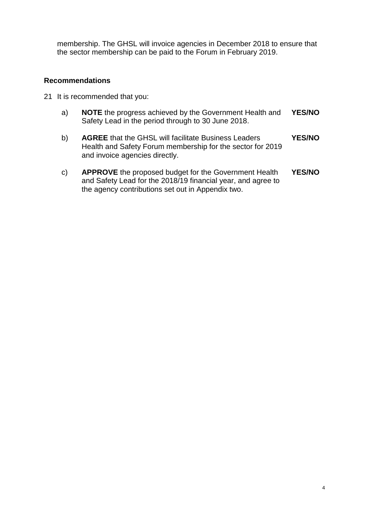membership. The GHSL will invoice agencies in December 2018 to ensure that the sector membership can be paid to the Forum in February 2019.

#### **Recommendations**

- 21 It is recommended that you:
	- a) **NOTE** the progress achieved by the Government Health and Safety Lead in the period through to 30 June 2018. **YES/NO**
	- b) **AGREE** that the GHSL will facilitate Business Leaders Health and Safety Forum membership for the sector for 2019 and invoice agencies directly. **YES/NO**
	- c) **APPROVE** the proposed budget for the Government Health and Safety Lead for the 2018/19 financial year, and agree to the agency contributions set out in Appendix two. **YES/NO**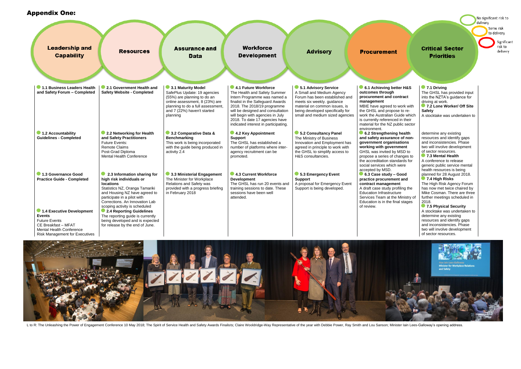**7.1 Driving** The GHSL has provided input into the NZTA's guidance for driving at work. **7.2 Lone Worker/ Off Site Safety**

A stocktake was undertaken to

**6.3 Case study – Good pnt** and **c** ent rofiling the ture e Ministry of inal stages

| <b>Leadership and</b><br><b>Capability</b>                                                                                                                                                                                        | <b>Resources</b>                                                                                                                                                                                                                                                                                                                                                                         | <b>Assurance and</b><br><b>Data</b>                                                                                                                                                                 | <b>Workforce</b><br><b>Development</b>                                                                                                                                                                                                                                                                     | <b>Advisory</b>                                                                                                                                                                                                           | <b>Procurement</b>                                                                                                                                                                                                  |
|-----------------------------------------------------------------------------------------------------------------------------------------------------------------------------------------------------------------------------------|------------------------------------------------------------------------------------------------------------------------------------------------------------------------------------------------------------------------------------------------------------------------------------------------------------------------------------------------------------------------------------------|-----------------------------------------------------------------------------------------------------------------------------------------------------------------------------------------------------|------------------------------------------------------------------------------------------------------------------------------------------------------------------------------------------------------------------------------------------------------------------------------------------------------------|---------------------------------------------------------------------------------------------------------------------------------------------------------------------------------------------------------------------------|---------------------------------------------------------------------------------------------------------------------------------------------------------------------------------------------------------------------|
| 1.1 Business Leaders Health<br>and Safety Forum - Completed                                                                                                                                                                       | 2.1 Government Health and<br><b>Safety Website - Completed</b>                                                                                                                                                                                                                                                                                                                           | 3.1 Maturity Model<br>SafePlus Update: 19 agencies<br>(55%) are planning to do an<br>online assessment, 8 (23%) are<br>planning to do a full assessment,<br>and 7 (22%) haven't started<br>planning | 4.1 Future Workforce<br>The Health and Safety Summer<br>Intern Programme was named a<br>finalist in the Safeguard Awards<br>2018. The 2018/19 programme<br>will be designed and consultation<br>will begin with agencies in July<br>2018. To date 17 agencies have<br>indicated interest in participating. | 5.1 Advisory Service<br>A Small and Medium Agency<br>Forum has been established and<br>meets six weekly. guidance<br>material on common issues, is<br>being developed specifically for<br>small and medium sized agencies | 6.1 Achieving be<br>outcomes through<br>procurement and c<br>management<br>MBIE have agreed to<br>the GHSL and propo<br>work the Australian O<br>is currently reference<br>material for the NZ p<br>environment.    |
| 1.2 Accountability<br><b>Guidelines - Completed</b>                                                                                                                                                                               | 2.2 Networking for Health<br>and Safety Practitioners<br><b>Future Events:</b><br><b>Remote Claims</b><br>Post-Grad Diploma<br><b>Mental Health Conference</b>                                                                                                                                                                                                                           | 3.2 Comparative Data &<br><b>Benchmarking</b><br>This work is being incorporated<br>with the guide being produced in<br>activity 2.4                                                                | 4.2 Key Appointment<br><b>Support</b><br>The GHSL has established a<br>number of platforms where inter-<br>agency recruitment can be<br>promoted.                                                                                                                                                          | 5.2 Consultancy Panel<br>The Ministry of Business<br>Innovation and Employment has<br>agreed in principle to work with<br>the GHSL to simplify access to<br>H&S consultancies.                                            | 6.2 Strengthenin<br>and safety assuran<br>government organi<br>working with gover<br>GHSL was invited by<br>propose a series of o<br>the accreditation star<br>social services which                                |
| 1.3 Governance Good<br><b>Practice Guide - Completed</b><br>1.4 Executive Development<br><b>Events</b><br><b>Future Events</b><br>CE Breakfast - MFAT<br><b>Mental Health Conference</b><br><b>Risk Management for Executives</b> | 2.3 Information sharing for<br>high risk individuals or<br><b>locations</b><br>Statistics NZ, Oranga Tamariki<br>and Housing NZ have agreed to<br>participate in a pilot with<br>Corrections. An Innovation Lab<br>scoping activity is scheduled<br>• 2.4 Reporting Guidelines<br>The reporting guide is currently<br>being developed and is expected<br>for release by the end of June. | 3.3 Ministerial Engagement<br>The Minister for Workplace<br>Relations and Safety was<br>provided with a progress briefing<br>in February 2018                                                       | 4.3 Current Workforce<br><b>Development</b><br>The GHSL has run 20 events and<br>training sessions to date. These<br>sessions have been well<br>attended.                                                                                                                                                  | 5.3 Emergency Event<br><b>Support</b><br>A proposal for Emergency Event<br>Support is being developed.                                                                                                                    | accepted by MSD.<br>$\bullet$ 6.3 Case study –<br>practice procureme<br>contract manageme<br>A draft case study pr<br><b>Education Infrastruct</b><br>Services Team at the<br>Education is in the fir<br>of review. |



L to R: The Unleashing the Power of Engagement Conference 10 May 2018; The Spirit of Service Health and Safety Awards Finalists; Claire Wooldridge-Way Representative of the year with Debbie Power, Ray Smith and Lou Sanson;

No significant risk to delivery

Some risk to delivery

### **Critical Sector Priorities**

Significant risk to delivery

### etter H&S **process**

to work with ose to re-Guide which ed in their public sector

#### **ng health ace of nonisations** rnment / MSD to *changes to* ndards for h were

#### **Appendix Two:** Appendix One:

determine any existing resources and identify gaps and inconsistencies. Phase two will involve development of sector resources. **7.3 Mental Health**

A conference to release generic public service mental health resources is being planned for 28 August 2018. **7.4 High Risks**

The High Risk Agency Forum has now met twice chaired by Mike Cosman. There are three further meetings scheduled in 2018.

**7.5 Physical Security** A stocktake was undertaken to determine any existing resources and identify gaps and inconsistencies. Phase two will involve development of sector resources.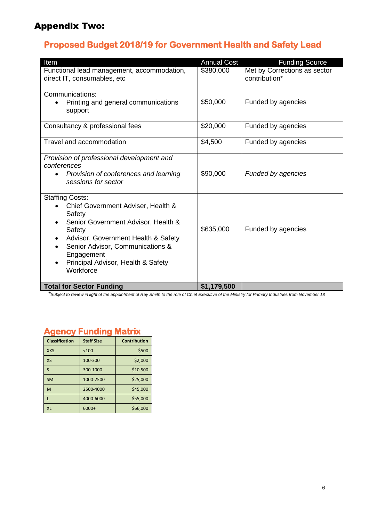# Appendix Two:

# **Proposed Budget 2018/19 for Government Health and Safety Lead**

| Item                                                                                                                                                                                                                                                                | <b>Annual Cost</b> | <b>Funding Source</b>                         |
|---------------------------------------------------------------------------------------------------------------------------------------------------------------------------------------------------------------------------------------------------------------------|--------------------|-----------------------------------------------|
| Functional lead management, accommodation,<br>direct IT, consumables, etc                                                                                                                                                                                           | \$380,000          | Met by Corrections as sector<br>contribution* |
| Communications:<br>Printing and general communications<br>support                                                                                                                                                                                                   | \$50,000           | Funded by agencies                            |
| Consultancy & professional fees                                                                                                                                                                                                                                     | \$20,000           | Funded by agencies                            |
| Travel and accommodation                                                                                                                                                                                                                                            | \$4,500            | Funded by agencies                            |
| Provision of professional development and<br>conferences<br>Provision of conferences and learning<br>sessions for sector                                                                                                                                            | \$90,000           | <b>Funded by agencies</b>                     |
| <b>Staffing Costs:</b><br>Chief Government Adviser, Health &<br>Safety<br>Senior Government Advisor, Health &<br>Safety<br>Advisor, Government Health & Safety<br>Senior Advisor, Communications &<br>Engagement<br>Principal Advisor, Health & Safety<br>Workforce | \$635,000          | Funded by agencies                            |
| <b>Total for Sector Funding</b>                                                                                                                                                                                                                                     | \$1,179,500        |                                               |

*\*Subject to review in light of the appointment of Ray Smith to the role of Chief Executive of the Ministry for Primary Industries from November 18*

# **Agency Funding Matrix**

| <b>Classification</b> | <b>Staff Size</b> | <b>Contribution</b> |
|-----------------------|-------------------|---------------------|
| <b>XXS</b>            | < 100             | \$500               |
| XS                    | 100-300           | \$2,000             |
| $\mathsf{S}$          | 300-1000          | \$10,500            |
| <b>SM</b>             | 1000-2500         | \$25,000            |
| M                     | 2500-4000         | \$45,000            |
|                       | 4000-6000         | \$55,000            |
| <b>XL</b>             | $6000+$           | \$66,000            |